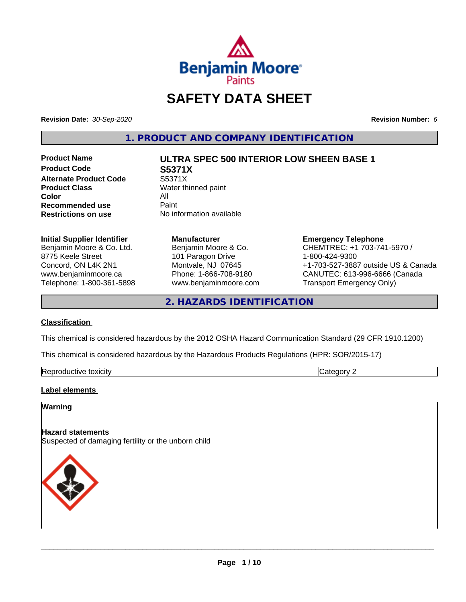

# **SAFETY DATA SHEET**

**Revision Date:** *30-Sep-2020* **Revision Number:** *6*

**1. PRODUCT AND COMPANY IDENTIFICATION**

**Product Code S5371X Alternate Product Code** S5371X<br> **Product Class** Water th **Color** All<br> **Recommended use** Paint **Recommended use**<br>Restrictions on use

# **Product Name ULTRA SPEC 500 INTERIOR LOW SHEEN BASE 1**

**Water thinned paint Restrictions on use** No information available

#### **Initial Supplier Identifier**

Benjamin Moore & Co. Ltd. 8775 Keele Street Concord, ON L4K 2N1 www.benjaminmoore.ca Telephone: 1-800-361-5898

#### **Manufacturer** Benjamin Moore & Co. 101 Paragon Drive Montvale, NJ 07645 Phone: 1-866-708-9180

www.benjaminmoore.com

**Emergency Telephone** CHEMTREC: +1 703-741-5970 / 1-800-424-9300 +1-703-527-3887 outside US & Canada CANUTEC: 613-996-6666 (Canada Transport Emergency Only)

**2. HAZARDS IDENTIFICATION**

#### **Classification**

This chemical is considered hazardous by the 2012 OSHA Hazard Communication Standard (29 CFR 1910.1200)

This chemical is considered hazardous by the Hazardous Products Regulations (HPR: SOR/2015-17)

| ־<br>toxicity<br>:TIVE<br>ᅟᅠ<br>л<br>,,,,<br>. . |
|--------------------------------------------------|
|--------------------------------------------------|

#### **Label elements**

#### **Warning**

#### **Hazard statements**

Suspected of damaging fertility or the unborn child

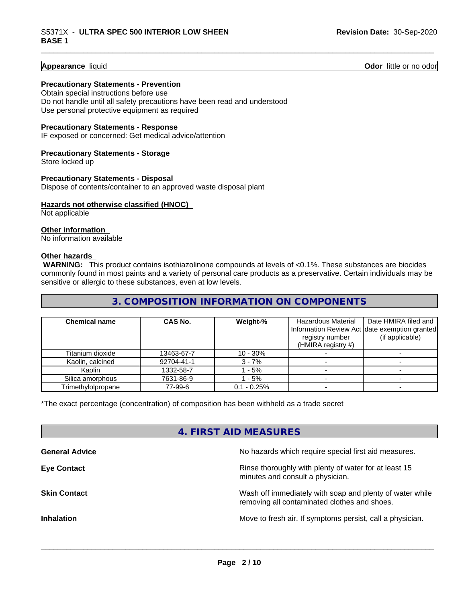**Appearance** liquid **Contract Contract Contract Contract Contract Contract Contract Contract Contract Contract Contract Contract Contract Contract Contract Contract Contract Contract Contract Contract Contract Contract Con** 

#### **Precautionary Statements - Prevention**

Obtain special instructions before use Do not handle until all safety precautions have been read and understood Use personal protective equipment as required

#### **Precautionary Statements - Response**

IF exposed or concerned: Get medical advice/attention

#### **Precautionary Statements - Storage**

Store locked up

#### **Precautionary Statements - Disposal**

Dispose of contents/container to an approved waste disposal plant

#### **Hazards not otherwise classified (HNOC)**

Not applicable

#### **Other information**

No information available

#### **Other hazards**

 **WARNING:** This product contains isothiazolinone compounds at levels of <0.1%. These substances are biocides commonly found in most paints and a variety of personal care products as a preservative. Certain individuals may be sensitive or allergic to these substances, even at low levels.

#### **3. COMPOSITION INFORMATION ON COMPONENTS**

| <b>Chemical name</b> | <b>CAS No.</b> | Weight-%      | Hazardous Material                                                                     | Date HMIRA filed and |
|----------------------|----------------|---------------|----------------------------------------------------------------------------------------|----------------------|
|                      |                |               | Information Review Act date exemption granted<br>registry number<br>(HMIRA registry #) | (if applicable)      |
| Titanium dioxide     | 13463-67-7     | $10 - 30%$    |                                                                                        |                      |
| Kaolin, calcined     | 92704-41-1     | $3 - 7%$      |                                                                                        |                      |
| Kaolin               | 1332-58-7      | $-5%$         |                                                                                        |                      |
| Silica amorphous     | 7631-86-9      | $-5%$         |                                                                                        |                      |
| Trimethylolpropane   | 77-99-6        | $0.1 - 0.25%$ |                                                                                        |                      |

\*The exact percentage (concentration) of composition has been withheld as a trade secret

#### **4. FIRST AID MEASURES**

| <b>General Advice</b> | No hazards which require special first aid measures.                                                     |
|-----------------------|----------------------------------------------------------------------------------------------------------|
| <b>Eye Contact</b>    | Rinse thoroughly with plenty of water for at least 15<br>minutes and consult a physician.                |
| <b>Skin Contact</b>   | Wash off immediately with soap and plenty of water while<br>removing all contaminated clothes and shoes. |
| <b>Inhalation</b>     | Move to fresh air. If symptoms persist, call a physician.                                                |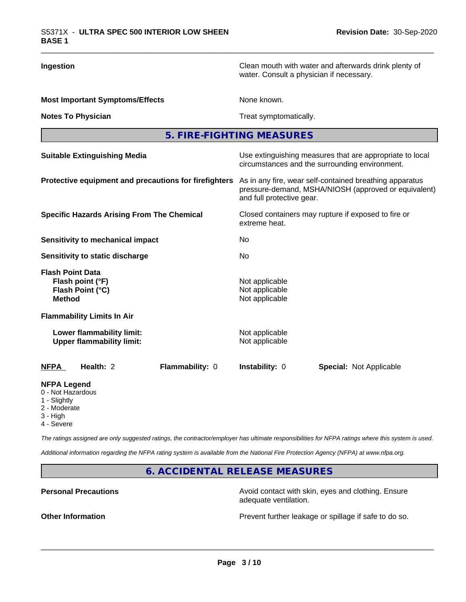**Ingestion Ingestion Clean mouth with water and afterwards drink plenty of** Clean mouth with water and afterwards drink plenty of water. Consult a physician if necessary.

**Most Important Symptoms/Effects** None known.

**Notes To Physician** Motes To Physician Treat symptomatically.

**5. FIRE-FIGHTING MEASURES**

| <b>Suitable Extinguishing Media</b>                                              | Use extinguishing measures that are appropriate to local<br>circumstances and the surrounding environment.<br>As in any fire, wear self-contained breathing apparatus<br>pressure-demand, MSHA/NIOSH (approved or equivalent)<br>and full protective gear.<br>Closed containers may rupture if exposed to fire or<br>extreme heat.<br>No.<br>No. |  |  |  |
|----------------------------------------------------------------------------------|--------------------------------------------------------------------------------------------------------------------------------------------------------------------------------------------------------------------------------------------------------------------------------------------------------------------------------------------------|--|--|--|
| Protective equipment and precautions for firefighters                            |                                                                                                                                                                                                                                                                                                                                                  |  |  |  |
| <b>Specific Hazards Arising From The Chemical</b>                                |                                                                                                                                                                                                                                                                                                                                                  |  |  |  |
| Sensitivity to mechanical impact                                                 |                                                                                                                                                                                                                                                                                                                                                  |  |  |  |
| Sensitivity to static discharge                                                  |                                                                                                                                                                                                                                                                                                                                                  |  |  |  |
| <b>Flash Point Data</b><br>Flash point (°F)<br>Flash Point (°C)<br><b>Method</b> | Not applicable<br>Not applicable<br>Not applicable                                                                                                                                                                                                                                                                                               |  |  |  |
| <b>Flammability Limits In Air</b>                                                |                                                                                                                                                                                                                                                                                                                                                  |  |  |  |
| Lower flammability limit:<br><b>Upper flammability limit:</b>                    | Not applicable<br>Not applicable                                                                                                                                                                                                                                                                                                                 |  |  |  |
| <b>NFPA</b><br>Health: 2<br>Flammability: 0                                      | <b>Instability: 0</b><br><b>Special: Not Applicable</b>                                                                                                                                                                                                                                                                                          |  |  |  |
| <b>NFPA Legend</b><br>0 - Not Hazardous                                          |                                                                                                                                                                                                                                                                                                                                                  |  |  |  |

- 1 Slightly
- 2 Moderate
- 3 High
- 4 Severe

*The ratings assigned are only suggested ratings, the contractor/employer has ultimate responsibilities for NFPA ratings where this system is used.*

*Additional information regarding the NFPA rating system is available from the National Fire Protection Agency (NFPA) at www.nfpa.org.*

**6. ACCIDENTAL RELEASE MEASURES**

**Personal Precautions Avoid contact with skin, eyes and clothing. Ensure** Avoid contact with skin, eyes and clothing. Ensure adequate ventilation.

**Other Information Discription Prevent further leakage or spillage if safe to do so.**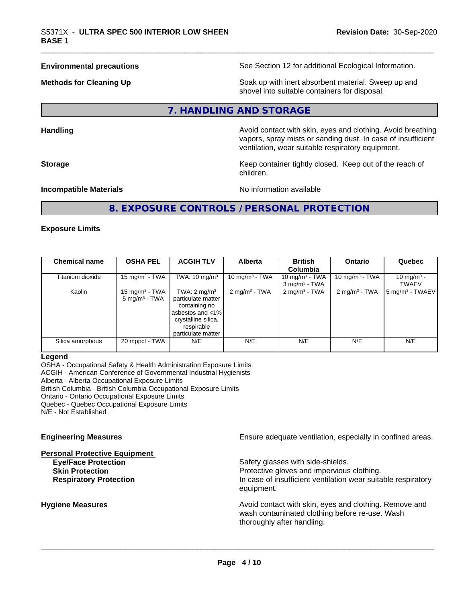**Environmental precautions** See Section 12 for additional Ecological Information.

**Methods for Cleaning Up Example 20 Soak** up with inert absorbent material. Sweep up and shovel into suitable containers for disposal.

## **7. HANDLING AND STORAGE**

**Handling Handling Avoid contact with skin, eyes and clothing. Avoid breathing** vapors, spray mists or sanding dust. In case of insufficient ventilation, wear suitable respiratory equipment.

**Storage Keep container tightly closed. Keep out of the reach of Keep Keep container tightly closed. Keep out of the reach of** children.

**Incompatible Materials Incompatible Materials No information available** 

## **8. EXPOSURE CONTROLS / PERSONAL PROTECTION**

#### **Exposure Limits**

| <b>Chemical name</b> | <b>OSHA PEL</b>                               | <b>ACGIH TLV</b>                                                                                                                              | <b>Alberta</b>           | <b>British</b><br>Columbia                       | <b>Ontario</b>             | Quebec                                 |
|----------------------|-----------------------------------------------|-----------------------------------------------------------------------------------------------------------------------------------------------|--------------------------|--------------------------------------------------|----------------------------|----------------------------------------|
| Titanium dioxide     | 15 mg/m $3$ - TWA                             | TWA: $10 \text{ mg/m}^3$                                                                                                                      | 10 mg/m $3$ - TWA        | 10 mg/m $3$ - TWA<br>$3$ mg/m <sup>3</sup> - TWA | 10 mg/m <sup>3</sup> - TWA | 10 mg/m <sup>3</sup> -<br><b>TWAEV</b> |
| Kaolin               | 15 mg/m $3$ - TWA<br>$5 \text{ mg/m}^3$ - TWA | TWA: $2 \text{ mg/m}^3$<br>particulate matter<br>containing no<br>asbestos and <1%<br>crystalline silica,<br>respirable<br>particulate matter | $2 \text{ mg/m}^3$ - TWA | $2 \text{ mg/m}^3$ - TWA                         | $2 \text{ mg/m}^3$ - TWA   | 5 mg/m <sup>3</sup> - TWAEV            |
| Silica amorphous     | 20 mppcf - TWA                                | N/E                                                                                                                                           | N/E                      | N/E                                              | N/E                        | N/E                                    |

#### **Legend**

OSHA - Occupational Safety & Health Administration Exposure Limits ACGIH - American Conference of Governmental Industrial Hygienists Alberta - Alberta Occupational Exposure Limits British Columbia - British Columbia Occupational Exposure Limits Ontario - Ontario Occupational Exposure Limits Quebec - Quebec Occupational Exposure Limits

N/E - Not Established

# **Personal Protective Equipment**

**Engineering Measures Ensure** Ensure adequate ventilation, especially in confined areas.

**Eye/Face Protection** Safety glasses with side-shields. **Skin Protection Protection Protective gloves and impervious clothing. Respiratory Protection In case of insufficient ventilation wear suitable respiratory** equipment.

**Hygiene Measures Avoid contact with skin, eyes and clothing. Remove and Avoid contact with skin, eyes and clothing. Remove and Avoid contact with skin, eyes and clothing. Remove and** wash contaminated clothing before re-use. Wash thoroughly after handling.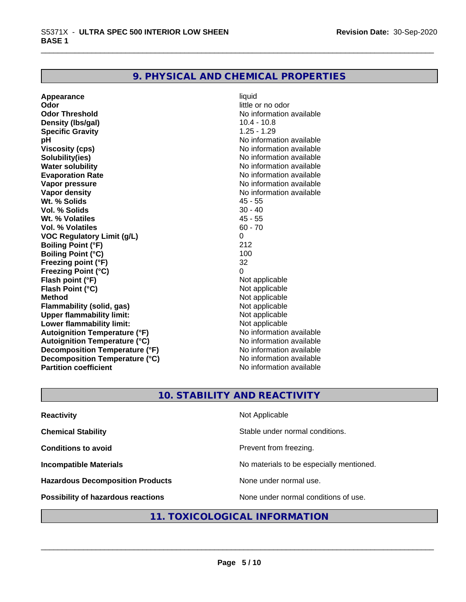#### **9. PHYSICAL AND CHEMICAL PROPERTIES**

**Appearance** liquid **and a limitation of the contract of the contract of the contract of the contract of the contract of the contract of the contract of the contract of the contract of the contract of the contract of the c Odor Threshold No information available No information available Density (lbs/gal)** 10.4 - 10.8<br> **Specific Gravity** 1.25 - 1.29 **Specific Gravity pH** No information available **Viscosity (cps)** No information available **Solubility(ies)** No information available **Water solubility Mater Solubility**<br> **Evaporation Rate** Mate No information available **Vapor pressure** No information available **Vapor density**<br> **We Solids**<br>
We Solid We Solids
2018 **Wt. % Solids** 45 - 55<br> **Vol. % Solids** 30 - 40 **Vol. % Solids Wt. % Volatiles** 45 - 55 **Vol. % Volatiles VOC Regulatory Limit (g/L)** 0 **Boiling Point (°F)** 212 **Boiling Point (°C) Freezing point (°F)** 32 **Freezing Point (°C)**<br> **Flash point (°F)**<br> **Flash point (°F)**<br> **Point (°F)**<br> **Point (°F)**<br> **Point (°F)**<br> **Point (°F)**<br> **Point (°F) Flash point (°F)**<br> **Flash Point (°C)**<br> **Flash Point (°C)**<br> **C Flash Point (°C) Method**<br> **Flammability (solid. gas)**<br> **Commability (solid. gas)**<br> **Not** applicable **Flammability (solid, gas)** Not applicable<br> **Upper flammability limit:** Not applicable **Upper flammability limit: Lower flammability limit:**<br> **Autoignition Temperature (°F)** Not applicable havailable **Autoignition Temperature (°F) Autoignition Temperature (°C)** No information available **Decomposition Temperature (°F)** No information available<br> **Decomposition Temperature (°C)** No information available **Decomposition Temperature (°C) Partition coefficient** No information available

little or no odor **Evaporation Rate** No information available

## **10. STABILITY AND REACTIVITY**

| <b>Reactivity</b>                       | Not Applicable                           |
|-----------------------------------------|------------------------------------------|
| <b>Chemical Stability</b>               | Stable under normal conditions.          |
| <b>Conditions to avoid</b>              | Prevent from freezing.                   |
| <b>Incompatible Materials</b>           | No materials to be especially mentioned. |
| <b>Hazardous Decomposition Products</b> | None under normal use.                   |
| Possibility of hazardous reactions      | None under normal conditions of use.     |

#### **11. TOXICOLOGICAL INFORMATION**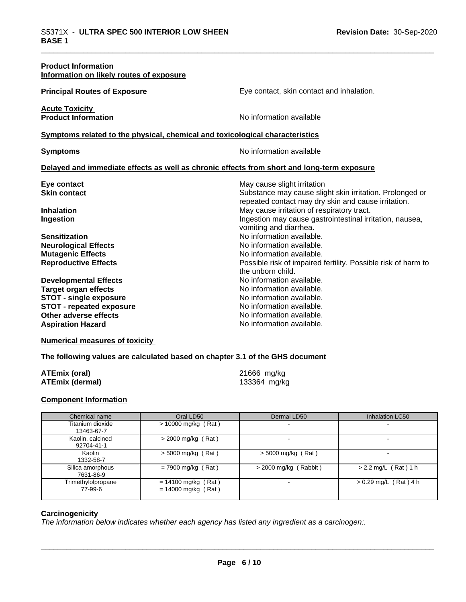| <b>Product Information</b><br>Information on likely routes of exposure                                                                                                               |                                                                                                                                                                            |
|--------------------------------------------------------------------------------------------------------------------------------------------------------------------------------------|----------------------------------------------------------------------------------------------------------------------------------------------------------------------------|
| <b>Principal Routes of Exposure</b>                                                                                                                                                  | Eye contact, skin contact and inhalation.                                                                                                                                  |
| <b>Acute Toxicity</b><br><b>Product Information</b>                                                                                                                                  | No information available                                                                                                                                                   |
| Symptoms related to the physical, chemical and toxicological characteristics                                                                                                         |                                                                                                                                                                            |
| <b>Symptoms</b>                                                                                                                                                                      | No information available                                                                                                                                                   |
| Delayed and immediate effects as well as chronic effects from short and long-term exposure                                                                                           |                                                                                                                                                                            |
| Eye contact<br><b>Skin contact</b>                                                                                                                                                   | May cause slight irritation<br>Substance may cause slight skin irritation. Prolonged or<br>repeated contact may dry skin and cause irritation.                             |
| <b>Inhalation</b><br>Ingestion                                                                                                                                                       | May cause irritation of respiratory tract.<br>Ingestion may cause gastrointestinal irritation, nausea,<br>vomiting and diarrhea.                                           |
| <b>Sensitization</b><br><b>Neurological Effects</b><br><b>Mutagenic Effects</b><br><b>Reproductive Effects</b>                                                                       | No information available.<br>No information available.<br>No information available.<br>Possible risk of impaired fertility. Possible risk of harm to<br>the unborn child.  |
| <b>Developmental Effects</b><br><b>Target organ effects</b><br><b>STOT - single exposure</b><br><b>STOT - repeated exposure</b><br>Other adverse effects<br><b>Aspiration Hazard</b> | No information available.<br>No information available.<br>No information available.<br>No information available.<br>No information available.<br>No information available. |

## **Numerical measures of toxicity**

#### **The following values are calculated based on chapter 3.1 of the GHS document**

| ATEmix (oral)   | 21666 mg/kg  |
|-----------------|--------------|
| ATEmix (dermal) | 133364 mg/kg |

#### **Component Information**

| Chemical name                  | Oral LD50                                      | Dermal LD50             | <b>Inhalation LC50</b>  |
|--------------------------------|------------------------------------------------|-------------------------|-------------------------|
| Titanium dioxide<br>13463-67-7 | $> 10000$ mg/kg (Rat)                          |                         |                         |
| Kaolin, calcined<br>92704-41-1 | $>$ 2000 mg/kg (Rat)                           |                         |                         |
| Kaolin<br>1332-58-7            | $>$ 5000 mg/kg (Rat)                           | $>$ 5000 mg/kg (Rat)    |                         |
| Silica amorphous<br>7631-86-9  | $= 7900$ mg/kg (Rat)                           | $>$ 2000 mg/kg (Rabbit) | $> 2.2$ mg/L (Rat) 1 h  |
| Trimethylolpropane<br>77-99-6  | $= 14100$ mg/kg (Rat)<br>$= 14000$ mg/kg (Rat) |                         | $> 0.29$ mg/L (Rat) 4 h |

#### **Carcinogenicity**

*The information below indicateswhether each agency has listed any ingredient as a carcinogen:.*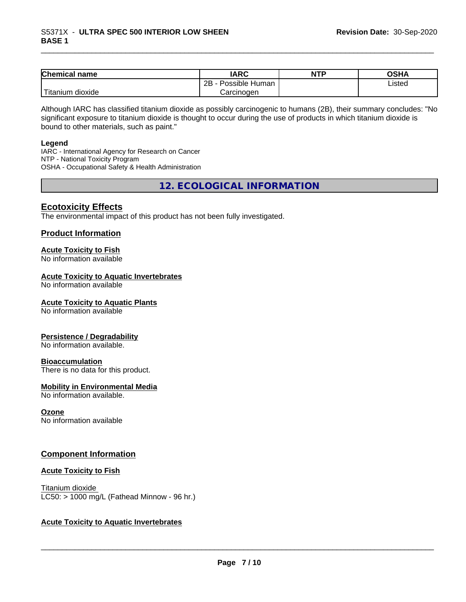| <b>Chemical name</b>       | <b>IARC</b>          | <b>NTP</b> | <b>OSHA</b> |
|----------------------------|----------------------|------------|-------------|
|                            | Possible Human<br>2B |            | Listed      |
| .<br>ı dioxide<br>Titanium | Carcinogen           |            |             |

Although IARC has classified titanium dioxide as possibly carcinogenic to humans (2B), their summary concludes: "No significant exposure to titanium dioxide is thought to occur during the use of products in which titanium dioxide is bound to other materials, such as paint."

#### **Legend**

IARC - International Agency for Research on Cancer NTP - National Toxicity Program OSHA - Occupational Safety & Health Administration

**12. ECOLOGICAL INFORMATION**

#### **Ecotoxicity Effects**

The environmental impact of this product has not been fully investigated.

#### **Product Information**

#### **Acute Toxicity to Fish**

No information available

#### **Acute Toxicity to Aquatic Invertebrates**

No information available

#### **Acute Toxicity to Aquatic Plants**

No information available

#### **Persistence / Degradability**

No information available.

#### **Bioaccumulation**

There is no data for this product.

#### **Mobility in Environmental Media**

No information available.

#### **Ozone**

No information available

#### **Component Information**

#### **Acute Toxicity to Fish**

Titanium dioxide  $LC50:$  > 1000 mg/L (Fathead Minnow - 96 hr.)

#### **Acute Toxicity to Aquatic Invertebrates**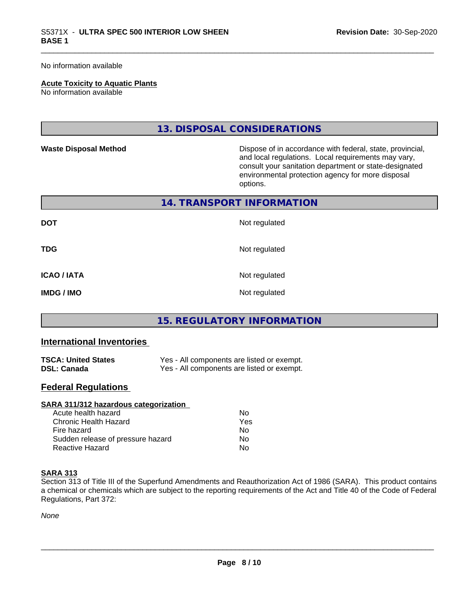No information available

#### **Acute Toxicity to Aquatic Plants**

No information available

#### **13. DISPOSAL CONSIDERATIONS**

**Waste Disposal Method Dispose of in accordance with federal, state, provincial,** and local regulations. Local requirements may vary, consult your sanitation department or state-designated environmental protection agency for more disposal options.

#### **14. TRANSPORT INFORMATION**

| <b>DOT</b>         | Not regulated |
|--------------------|---------------|
| <b>TDG</b>         | Not regulated |
| <b>ICAO / IATA</b> | Not regulated |
| <b>IMDG/IMO</b>    | Not regulated |

#### **15. REGULATORY INFORMATION**

#### **International Inventories**

| <b>TSCA: United States</b> | Yes - All components are listed or exempt. |
|----------------------------|--------------------------------------------|
| <b>DSL: Canada</b>         | Yes - All components are listed or exempt. |

#### **Federal Regulations**

| SARA 311/312 hazardous categorization |     |  |
|---------------------------------------|-----|--|
| Acute health hazard                   | Nο  |  |
| Chronic Health Hazard                 | Yes |  |
| Fire hazard                           | Nο  |  |
| Sudden release of pressure hazard     | Nο  |  |
| Reactive Hazard                       | No  |  |

#### **SARA 313**

Section 313 of Title III of the Superfund Amendments and Reauthorization Act of 1986 (SARA). This product contains a chemical or chemicals which are subject to the reporting requirements of the Act and Title 40 of the Code of Federal Regulations, Part 372:

*None*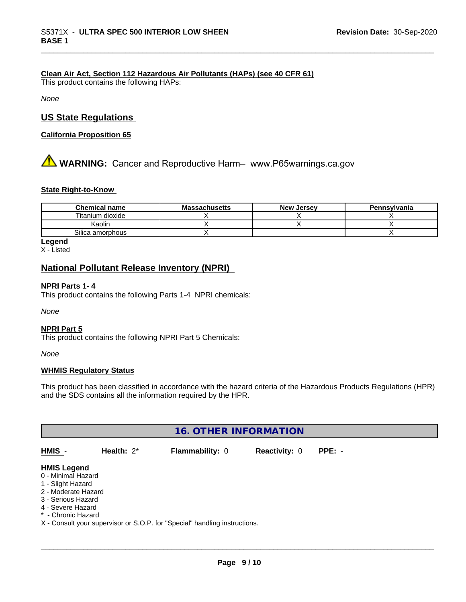#### **Clean Air Act,Section 112 Hazardous Air Pollutants (HAPs) (see 40 CFR 61)**

This product contains the following HAPs:

*None*

#### **US State Regulations**

**California Proposition 65**

# **A WARNING:** Cancer and Reproductive Harm– www.P65warnings.ca.gov

#### **State Right-to-Know**

| <b>Chemical name</b> | <b>Massachusetts</b> | <b>New Jersey</b> | Pennsylvania |
|----------------------|----------------------|-------------------|--------------|
| Titanium dioxide     |                      |                   |              |
| Kaolin               |                      |                   |              |
| Silica amorphous     |                      |                   |              |

#### **Legend**

X - Listed

#### **National Pollutant Release Inventory (NPRI)**

#### **NPRI Parts 1- 4**

This product contains the following Parts 1-4 NPRI chemicals:

*None*

#### **NPRI Part 5**

This product contains the following NPRI Part 5 Chemicals:

*None*

#### **WHMIS Regulatory Status**

This product has been classified in accordance with the hazard criteria of the Hazardous Products Regulations (HPR) and the SDS contains all the information required by the HPR.

| <b>16. OTHER INFORMATION</b>                                                                                                                          |               |                                                                            |                      |          |  |
|-------------------------------------------------------------------------------------------------------------------------------------------------------|---------------|----------------------------------------------------------------------------|----------------------|----------|--|
| HMIS -                                                                                                                                                | Health: $2^*$ | Flammability: 0                                                            | <b>Reactivity: 0</b> | $PPE: -$ |  |
| <b>HMIS Legend</b><br>0 - Minimal Hazard<br>1 - Slight Hazard<br>2 - Moderate Hazard<br>3 - Serious Hazard<br>4 - Severe Hazard<br>* - Chronic Hazard |               | X - Consult your supervisor or S.O.P. for "Special" handling instructions. |                      |          |  |